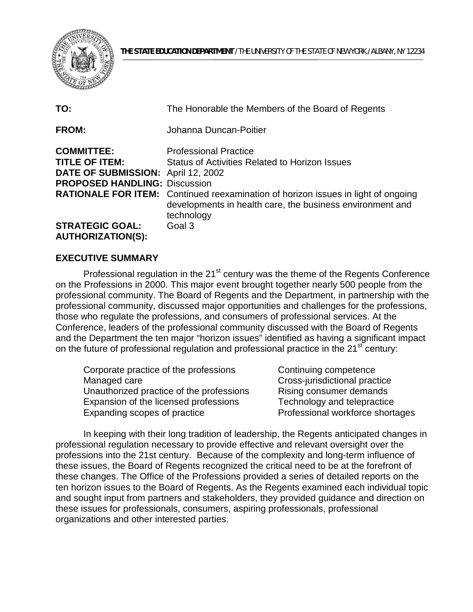

| TO:                                                                                                                      | The Honorable the Members of the Board of Regents                                                                                                                                                                                                            |
|--------------------------------------------------------------------------------------------------------------------------|--------------------------------------------------------------------------------------------------------------------------------------------------------------------------------------------------------------------------------------------------------------|
| <b>FROM:</b>                                                                                                             | Johanna Duncan-Poitier                                                                                                                                                                                                                                       |
| <b>COMMITTEE:</b><br><b>TITLE OF ITEM:</b><br>DATE OF SUBMISSION: April 12, 2002<br><b>PROPOSED HANDLING: Discussion</b> | <b>Professional Practice</b><br><b>Status of Activities Related to Horizon Issues</b><br><b>RATIONALE FOR ITEM:</b> Continued reexamination of horizon issues in light of ongoing<br>developments in health care, the business environment and<br>technology |
| <b>STRATEGIC GOAL:</b><br><b>AUTHORIZATION(S):</b>                                                                       | Goal 3                                                                                                                                                                                                                                                       |

## **EXECUTIVE SUMMARY**

 on the Professions in 2000. This major event brought together nearly 500 people from the Professional regulation in the 21<sup>st</sup> century was the theme of the Regents Conference professional community. The Board of Regents and the Department, in partnership with the professional community, discussed major opportunities and challenges for the professions, those who regulate the professions, and consumers of professional services. At the Conference, leaders of the professional community discussed with the Board of Regents and the Department the ten major "horizon issues" identified as having a significant impact on the future of professional regulation and professional practice in the 21<sup>st</sup> century:

| Corporate practice of the professions    | Continuing competence            |
|------------------------------------------|----------------------------------|
| Managed care                             | Cross-jurisdictional practice    |
| Unauthorized practice of the professions | Rising consumer demands          |
| Expansion of the licensed professions    | Technology and telepractice      |
| Expanding scopes of practice             | Professional workforce shortages |

In keeping with their long tradition of leadership, the Regents anticipated changes in professional regulation necessary to provide effective and relevant oversight over the professions into the 21st century. Because of the complexity and long-term influence of these issues, the Board of Regents recognized the critical need to be at the forefront of these changes. The Office of the Professions provided a series of detailed reports on the ten horizon issues to the Board of Regents. As the Regents examined each individual topic and sought input from partners and stakeholders, they provided guidance and direction on these issues for professionals, consumers, aspiring professionals, professional organizations and other interested parties.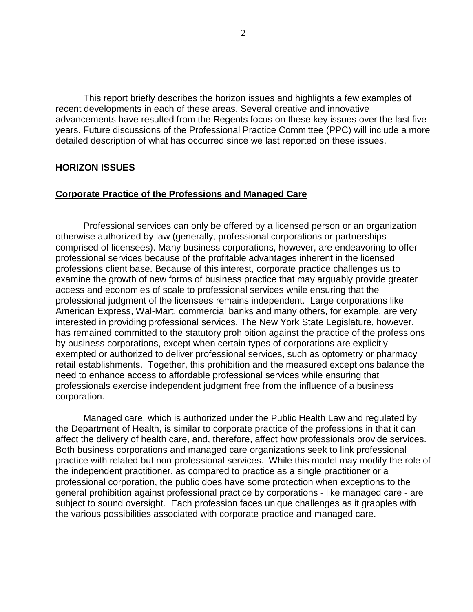recent developments in each of these areas. Several creative and innovative This report briefly describes the horizon issues and highlights a few examples of advancements have resulted from the Regents focus on these key issues over the last five years. Future discussions of the Professional Practice Committee (PPC) will include a more detailed description of what has occurred since we last reported on these issues.

#### **HORIZON ISSUES**

#### **Corporate Practice of the Professions and Managed Care**

Professional services can only be offered by a licensed person or an organization otherwise authorized by law (generally, professional corporations or partnerships comprised of licensees). Many business corporations, however, are endeavoring to offer professional services because of the profitable advantages inherent in the licensed professions client base. Because of this interest, corporate practice challenges us to examine the growth of new forms of business practice that may arguably provide greater access and economies of scale to professional services while ensuring that the professional judgment of the licensees remains independent. Large corporations like American Express, Wal-Mart, commercial banks and many others, for example, are very interested in providing professional services. The New York State Legislature, however, has remained committed to the statutory prohibition against the practice of the professions by business corporations, except when certain types of corporations are explicitly exempted or authorized to deliver professional services, such as optometry or pharmacy retail establishments. Together, this prohibition and the measured exceptions balance the need to enhance access to affordable professional services while ensuring that professionals exercise independent judgment free from the influence of a business corporation.

Managed care, which is authorized under the Public Health Law and regulated by the Department of Health, is similar to corporate practice of the professions in that it can affect the delivery of health care, and, therefore, affect how professionals provide services. Both business corporations and managed care organizations seek to link professional practice with related but non-professional services. While this model may modify the role of the independent practitioner, as compared to practice as a single practitioner or a professional corporation, the public does have some protection when exceptions to the general prohibition against professional practice by corporations - like managed care - are subject to sound oversight. Each profession faces unique challenges as it grapples with the various possibilities associated with corporate practice and managed care.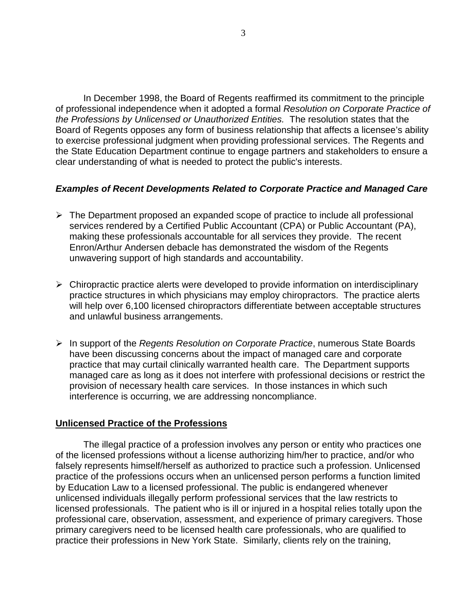In December 1998, the Board of Regents reaffirmed its commitment to the principle of professional independence when it adopted a formal *Resolution on Corporate Practice of the Professions by Unlicensed or Unauthorized Entities.* The resolution states that the Board of Regents opposes any form of business relationship that affects a licensee's ability to exercise professional judgment when providing professional services. The Regents and the State Education Department continue to engage partners and stakeholders to ensure a clear understanding of what is needed to protect the public's interests.

## *Examples of Recent Developments Related to Corporate Practice and Managed Care*

- $\triangleright$  The Department proposed an expanded scope of practice to include all professional services rendered by a Certified Public Accountant (CPA) or Public Accountant (PA), making these professionals accountable for all services they provide. The recent Enron/Arthur Andersen debacle has demonstrated the wisdom of the Regents unwavering support of high standards and accountability.
- $\triangleright$  Chiropractic practice alerts were developed to provide information on interdisciplinary practice structures in which physicians may employ chiropractors. The practice alerts will help over 6,100 licensed chiropractors differentiate between acceptable structures and unlawful business arrangements.
- **Example 1** In support of the *Regents Resolution on Corporate Practice*, numerous State Boards have been discussing concerns about the impact of managed care and corporate practice that may curtail clinically warranted health care. The Department supports managed care as long as it does not interfere with professional decisions or restrict the provision of necessary health care services. In those instances in which such interference is occurring, we are addressing noncompliance.

## **Unlicensed Practice of the Professions**

The illegal practice of a profession involves any person or entity who practices one of the licensed professions without a license authorizing him/her to practice, and/or who falsely represents himself/herself as authorized to practice such a profession. Unlicensed practice of the professions occurs when an unlicensed person performs a function limited by Education Law to a licensed professional. The public is endangered whenever unlicensed individuals illegally perform professional services that the law restricts to licensed professionals. The patient who is ill or injured in a hospital relies totally upon the professional care, observation, assessment, and experience of primary caregivers. Those primary caregivers need to be licensed health care professionals, who are qualified to practice their professions in New York State. Similarly, clients rely on the training,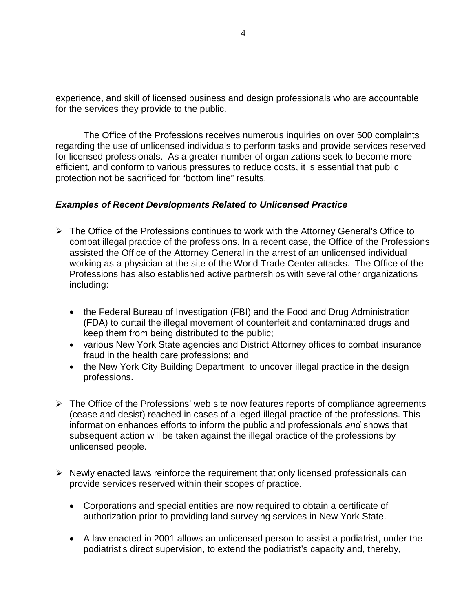experience, and skill of licensed business and design professionals who are accountable for the services they provide to the public.

The Office of the Professions receives numerous inquiries on over 500 complaints regarding the use of unlicensed individuals to perform tasks and provide services reserved for licensed professionals. As a greater number of organizations seek to become more efficient, and conform to various pressures to reduce costs, it is essential that public protection not be sacrificed for "bottom line" results.

# *Examples of Recent Developments Related to Unlicensed Practice*

- working as a physician at the site of the World Trade Center attacks. The Office of the  $\triangleright$  The Office of the Professions continues to work with the Attorney General's Office to combat illegal practice of the professions. In a recent case, the Office of the Professions assisted the Office of the Attorney General in the arrest of an unlicensed individual Professions has also established active partnerships with several other organizations including:
	- the Federal Bureau of Investigation (FBI) and the Food and Drug Administration (FDA) to curtail the illegal movement of counterfeit and contaminated drugs and keep them from being distributed to the public;
	- various New York State agencies and District Attorney offices to combat insurance fraud in the health care professions; and
	- the New York City Building Department to uncover illegal practice in the design professions.
- $\triangleright$  The Office of the Professions' web site now features reports of compliance agreements (cease and desist) reached in cases of alleged illegal practice of the professions. This information enhances efforts to inform the public and professionals *and* shows that subsequent action will be taken against the illegal practice of the professions by unlicensed people.
- $\triangleright$  Newly enacted laws reinforce the requirement that only licensed professionals can provide services reserved within their scopes of practice.
	- Corporations and special entities are now required to obtain a certificate of authorization prior to providing land surveying services in New York State.
	- A law enacted in 2001 allows an unlicensed person to assist a podiatrist, under the podiatrist's direct supervision, to extend the podiatrist's capacity and, thereby,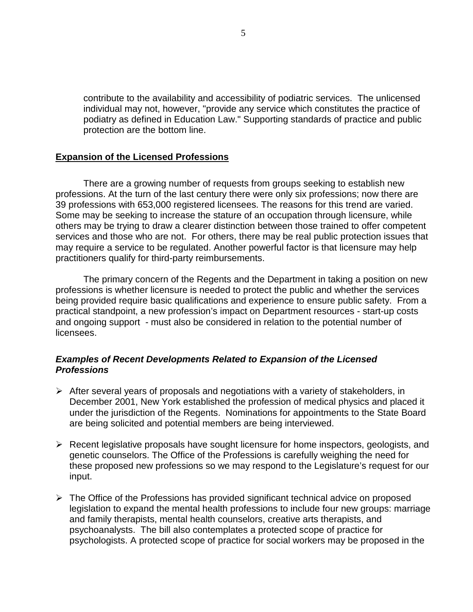contribute to the availability and accessibility of podiatric services. The unlicensed individual may not, however, "provide any service which constitutes the practice of podiatry as defined in Education Law." Supporting standards of practice and public protection are the bottom line.

### **Expansion of the Licensed Professions**

 may require a service to be regulated. Another powerful factor is that licensure may help There are a growing number of requests from groups seeking to establish new professions. At the turn of the last century there were only six professions; now there are 39 professions with 653,000 registered licensees. The reasons for this trend are varied. Some may be seeking to increase the stature of an occupation through licensure, while others may be trying to draw a clearer distinction between those trained to offer competent services and those who are not. For others, there may be real public protection issues that practitioners qualify for third-party reimbursements.

The primary concern of the Regents and the Department in taking a position on new professions is whether licensure is needed to protect the public and whether the services being provided require basic qualifications and experience to ensure public safety. From a practical standpoint, a new profession's impact on Department resources - start-up costs and ongoing support - must also be considered in relation to the potential number of licensees.

## *Examples of Recent Developments Related to Expansion of the Licensed Professions*

- $\triangleright$  After several years of proposals and negotiations with a variety of stakeholders, in December 2001, New York established the profession of medical physics and placed it under the jurisdiction of the Regents. Nominations for appointments to the State Board are being solicited and potential members are being interviewed.
- $\triangleright$  Recent legislative proposals have sought licensure for home inspectors, geologists, and genetic counselors. The Office of the Professions is carefully weighing the need for these proposed new professions so we may respond to the Legislature's request for our input.
- $\triangleright$  The Office of the Professions has provided significant technical advice on proposed legislation to expand the mental health professions to include four new groups: marriage and family therapists, mental health counselors, creative arts therapists, and psychoanalysts. The bill also contemplates a protected scope of practice for psychologists. A protected scope of practice for social workers may be proposed in the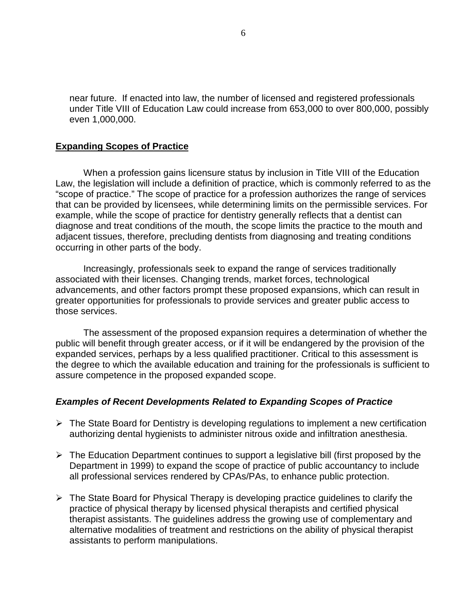near future. If enacted into law, the number of licensed and registered professionals under Title VIII of Education Law could increase from 653,000 to over 800,000, possibly even 1,000,000.

### **Expanding Scopes of Practice**

When a profession gains licensure status by inclusion in Title VIII of the Education Law, the legislation will include a definition of practice, which is commonly referred to as the "scope of practice." The scope of practice for a profession authorizes the range of services that can be provided by licensees, while determining limits on the permissible services. For example, while the scope of practice for dentistry generally reflects that a dentist can diagnose and treat conditions of the mouth, the scope limits the practice to the mouth and adjacent tissues, therefore, precluding dentists from diagnosing and treating conditions occurring in other parts of the body.

Increasingly, professionals seek to expand the range of services traditionally associated with their licenses. Changing trends, market forces, technological advancements, and other factors prompt these proposed expansions, which can result in greater opportunities for professionals to provide services and greater public access to those services.

The assessment of the proposed expansion requires a determination of whether the public will benefit through greater access, or if it will be endangered by the provision of the expanded services, perhaps by a less qualified practitioner. Critical to this assessment is the degree to which the available education and training for the professionals is sufficient to assure competence in the proposed expanded scope.

#### *Examples of Recent Developments Related to Expanding Scopes of Practice*

- $\triangleright$  The State Board for Dentistry is developing regulations to implement a new certification authorizing dental hygienists to administer nitrous oxide and infiltration anesthesia.
- $\triangleright$  The Education Department continues to support a legislative bill (first proposed by the Department in 1999) to expand the scope of practice of public accountancy to include all professional services rendered by CPAs/PAs, to enhance public protection.
- alternative modalities of treatment and restrictions on the ability of physical therapist  $\triangleright$  The State Board for Physical Therapy is developing practice guidelines to clarify the practice of physical therapy by licensed physical therapists and certified physical therapist assistants. The guidelines address the growing use of complementary and assistants to perform manipulations.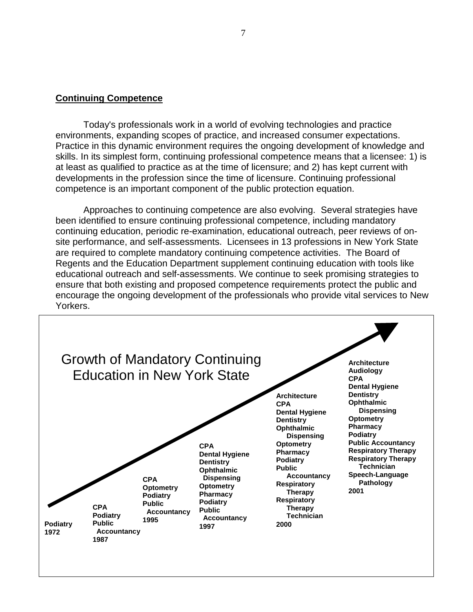#### **Continuing Competence**

 skills. In its simplest form, continuing professional competence means that a licensee: 1) is Today's professionals work in a world of evolving technologies and practice environments, expanding scopes of practice, and increased consumer expectations. Practice in this dynamic environment requires the ongoing development of knowledge and at least as qualified to practice as at the time of licensure; and 2) has kept current with developments in the profession since the time of licensure. Continuing professional competence is an important component of the public protection equation.

Approaches to continuing competence are also evolving. Several strategies have been identified to ensure continuing professional competence, including mandatory continuing education, periodic re-examination, educational outreach, peer reviews of onsite performance, and self-assessments. Licensees in 13 professions in New York State are required to complete mandatory continuing competence activities. The Board of Regents and the Education Department supplement continuing education with tools like educational outreach and self-assessments. We continue to seek promising strategies to ensure that both existing and proposed competence requirements protect the public and encourage the ongoing development of the professionals who provide vital services to New Yorkers.

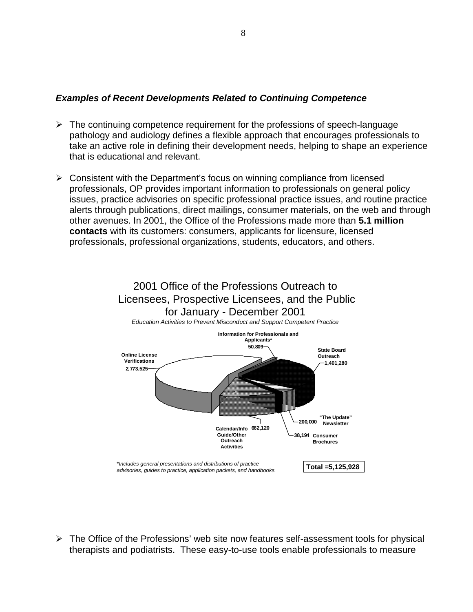## *Examples of Recent Developments Related to Continuing Competence*

- $\triangleright$  The continuing competence requirement for the professions of speech-language pathology and audiology defines a flexible approach that encourages professionals to take an active role in defining their development needs, helping to shape an experience that is educational and relevant.
- other avenues. In 2001, the Office of the Professions made more than **5.1 million**   $\triangleright$  Consistent with the Department's focus on winning compliance from licensed professionals, OP provides important information to professionals on general policy issues, practice advisories on specific professional practice issues, and routine practice alerts through publications, direct mailings, consumer materials, on the web and through **contacts** with its customers: consumers, applicants for licensure, licensed professionals, professional organizations, students, educators, and others.



 $\triangleright$  The Office of the Professions' web site now features self-assessment tools for physical therapists and podiatrists. These easy-to-use tools enable professionals to measure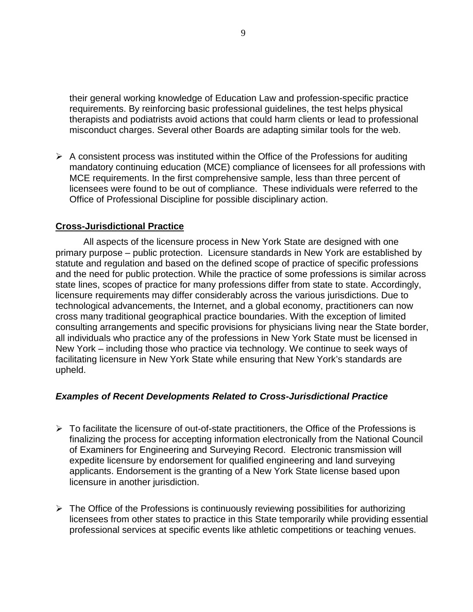their general working knowledge of Education Law and profession-specific practice requirements. By reinforcing basic professional guidelines, the test helps physical therapists and podiatrists avoid actions that could harm clients or lead to professional misconduct charges. Several other Boards are adapting similar tools for the web.

 $\triangleright$  A consistent process was instituted within the Office of the Professions for auditing mandatory continuing education (MCE) compliance of licensees for all professions with MCE requirements. In the first comprehensive sample, less than three percent of licensees were found to be out of compliance. These individuals were referred to the Office of Professional Discipline for possible disciplinary action.

# **Cross-Jurisdictional Practice**

 state lines, scopes of practice for many professions differ from state to state. Accordingly, All aspects of the licensure process in New York State are designed with one primary purpose – public protection. Licensure standards in New York are established by statute and regulation and based on the defined scope of practice of specific professions and the need for public protection. While the practice of some professions is similar across licensure requirements may differ considerably across the various jurisdictions. Due to technological advancements, the Internet, and a global economy, practitioners can now cross many traditional geographical practice boundaries. With the exception of limited consulting arrangements and specific provisions for physicians living near the State border, all individuals who practice any of the professions in New York State must be licensed in New York – including those who practice via technology. We continue to seek ways of facilitating licensure in New York State while ensuring that New York's standards are upheld.

## *Examples of Recent Developments Related to Cross-Jurisdictional Practice*

- $\triangleright$  To facilitate the licensure of out-of-state practitioners, the Office of the Professions is finalizing the process for accepting information electronically from the National Council of Examiners for Engineering and Surveying Record. Electronic transmission will expedite licensure by endorsement for qualified engineering and land surveying applicants. Endorsement is the granting of a New York State license based upon licensure in another jurisdiction.
- $\triangleright$  The Office of the Professions is continuously reviewing possibilities for authorizing licensees from other states to practice in this State temporarily while providing essential professional services at specific events like athletic competitions or teaching venues.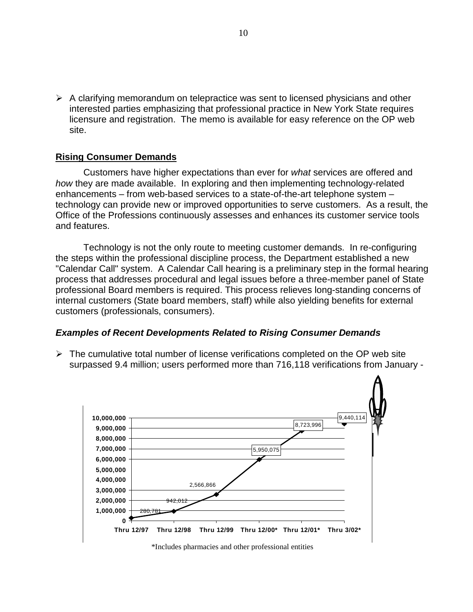$\triangleright$  A clarifying memorandum on telepractice was sent to licensed physicians and other interested parties emphasizing that professional practice in New York State requires licensure and registration. The memo is available for easy reference on the OP web site.

#### **Rising Consumer Demands**

Customers have higher expectations than ever for *what* services are offered and *how* they are made available. In exploring and then implementing technology-related enhancements – from web-based services to a state-of-the-art telephone system – technology can provide new or improved opportunities to serve customers. As a result, the Office of the Professions continuously assesses and enhances its customer service tools and features.

Technology is not the only route to meeting customer demands. In re-configuring the steps within the professional discipline process, the Department established a new "Calendar Call" system. A Calendar Call hearing is a preliminary step in the formal hearing process that addresses procedural and legal issues before a three-member panel of State professional Board members is required. This process relieves long-standing concerns of internal customers (State board members, staff) while also yielding benefits for external customers (professionals, consumers).

#### *Examples of Recent Developments Related to Rising Consumer Demands*

 $\triangleright$  The cumulative total number of license verifications completed on the OP web site surpassed 9.4 million; users performed more than 716,118 verifications from January -



\*Includes pharmacies and other professional entities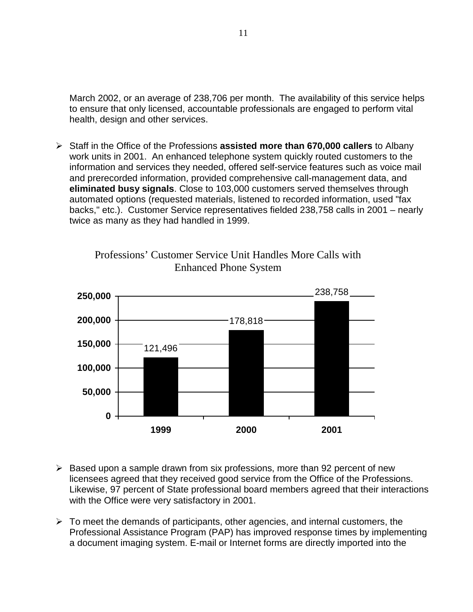March 2002, or an average of 238,706 per month. The availability of this service helps to ensure that only licensed, accountable professionals are engaged to perform vital health, design and other services.

‹ Staff in the Office of the Professions **assisted more than 670,000 callers** to Albany work units in 2001. An enhanced telephone system quickly routed customers to the information and services they needed, offered self-service features such as voice mail and prerecorded information, provided comprehensive call-management data, and **eliminated busy signals**. Close to 103,000 customers served themselves through automated options (requested materials, listened to recorded information, used "fax backs," etc.). Customer Service representatives fielded 238,758 calls in 2001 – nearly twice as many as they had handled in 1999.



Professions' Customer Service Unit Handles More Calls with Enhanced Phone System

- $\triangleright$  Based upon a sample drawn from six professions, more than 92 percent of new licensees agreed that they received good service from the Office of the Professions. Likewise, 97 percent of State professional board members agreed that their interactions with the Office were very satisfactory in 2001.
- a document imaging system. E-mail or Internet forms are directly imported into the  $\triangleright$  To meet the demands of participants, other agencies, and internal customers, the Professional Assistance Program (PAP) has improved response times by implementing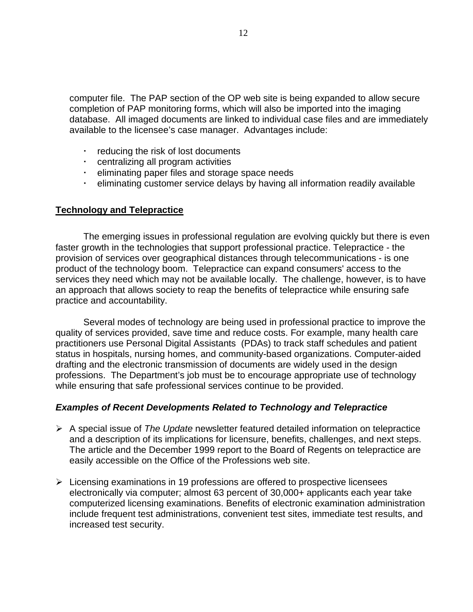computer file. The PAP section of the OP web site is being expanded to allow secure completion of PAP monitoring forms, which will also be imported into the imaging database. All imaged documents are linked to individual case files and are immediately available to the licensee's case manager. Advantages include:

- † reducing the risk of lost documents
- † centralizing all program activities
- † eliminating paper files and storage space needs
- † eliminating customer service delays by having all information readily available

### **Technology and Telepractice**

 faster growth in the technologies that support professional practice. Telepractice - the The emerging issues in professional regulation are evolving quickly but there is even provision of services over geographical distances through telecommunications - is one product of the technology boom. Telepractice can expand consumers' access to the services they need which may not be available locally. The challenge, however, is to have an approach that allows society to reap the benefits of telepractice while ensuring safe practice and accountability.

 professions. The Department's job must be to encourage appropriate use of technology Several modes of technology are being used in professional practice to improve the quality of services provided, save time and reduce costs. For example, many health care practitioners use Personal Digital Assistants (PDAs) to track staff schedules and patient status in hospitals, nursing homes, and community-based organizations. Computer-aided drafting and the electronic transmission of documents are widely used in the design while ensuring that safe professional services continue to be provided.

## *Examples of Recent Developments Related to Technology and Telepractice*

- ‹ A special issue of *The Update* newsletter featured detailed information on telepractice and a description of its implications for licensure, benefits, challenges, and next steps. The article and the December 1999 report to the Board of Regents on telepractice are easily accessible on the Office of the Professions web site.
- $\triangleright$  Licensing examinations in 19 professions are offered to prospective licensees electronically via computer; almost 63 percent of 30,000+ applicants each year take computerized licensing examinations. Benefits of electronic examination administration include frequent test administrations, convenient test sites, immediate test results, and increased test security.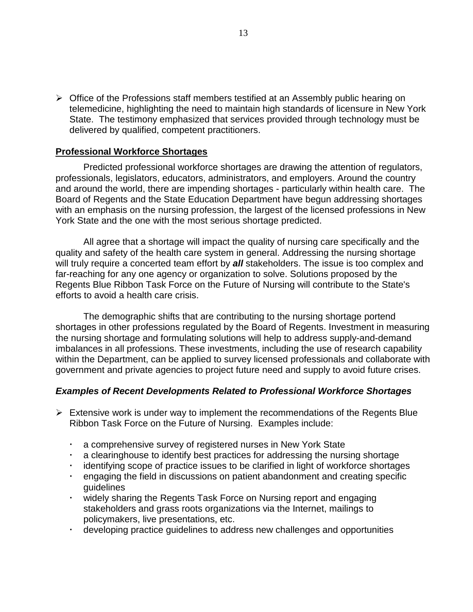telemedicine, highlighting the need to maintain high standards of licensure in New York State. The testimony emphasized that services provided through technology must be  $\triangleright$  Office of the Professions staff members testified at an Assembly public hearing on delivered by qualified, competent practitioners.

#### **Professional Workforce Shortages**

Predicted professional workforce shortages are drawing the attention of regulators, professionals, legislators, educators, administrators, and employers. Around the country and around the world, there are impending shortages - particularly within health care. The Board of Regents and the State Education Department have begun addressing shortages with an emphasis on the nursing profession, the largest of the licensed professions in New York State and the one with the most serious shortage predicted.

 will truly require a concerted team effort by *all* stakeholders. The issue is too complex and All agree that a shortage will impact the quality of nursing care specifically and the quality and safety of the health care system in general. Addressing the nursing shortage far-reaching for any one agency or organization to solve. Solutions proposed by the Regents Blue Ribbon Task Force on the Future of Nursing will contribute to the State's efforts to avoid a health care crisis.

The demographic shifts that are contributing to the nursing shortage portend shortages in other professions regulated by the Board of Regents. Investment in measuring the nursing shortage and formulating solutions will help to address supply-and-demand imbalances in all professions. These investments, including the use of research capability within the Department, can be applied to survey licensed professionals and collaborate with government and private agencies to project future need and supply to avoid future crises.

#### *Examples of Recent Developments Related to Professional Workforce Shortages*

- $\triangleright$  Extensive work is under way to implement the recommendations of the Regents Blue Ribbon Task Force on the Future of Nursing. Examples include:
	- a comprehensive survey of registered nurses in New York State
	- $\cdot$  a clearinghouse to identify best practices for addressing the nursing shortage
	- identifying scope of practice issues to be clarified in light of workforce shortages
	- † engaging the field in discussions on patient abandonment and creating specific guidelines
	- † widely sharing the Regents Task Force on Nursing report and engaging stakeholders and grass roots organizations via the Internet, mailings to policymakers, live presentations, etc.
	- † developing practice guidelines to address new challenges and opportunities